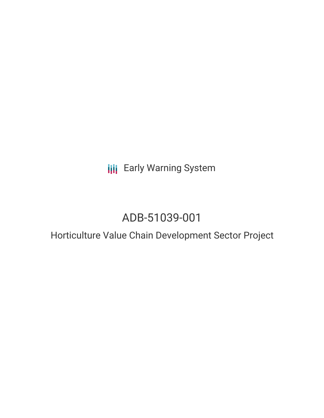**III** Early Warning System

# ADB-51039-001

# Horticulture Value Chain Development Sector Project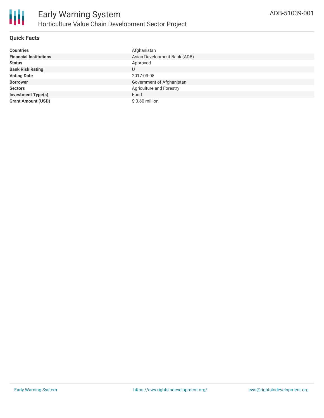

## **Quick Facts**

| <b>Countries</b>              | Afghanistan                  |
|-------------------------------|------------------------------|
| <b>Financial Institutions</b> | Asian Development Bank (ADB) |
| <b>Status</b>                 | Approved                     |
| <b>Bank Risk Rating</b>       | U                            |
| <b>Voting Date</b>            | 2017-09-08                   |
| <b>Borrower</b>               | Government of Afghanistan    |
| <b>Sectors</b>                | Agriculture and Forestry     |
| <b>Investment Type(s)</b>     | Fund                         |
| <b>Grant Amount (USD)</b>     | $$0.60$ million              |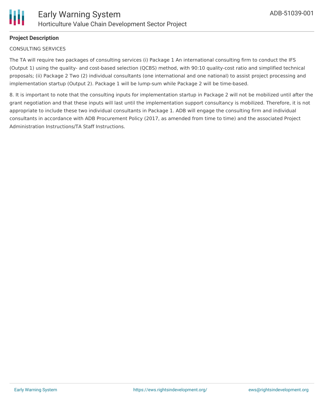

# **Project Description**

#### CONSULTING SERVICES

The TA will require two packages of consulting services (i) Package 1 An international consulting firm to conduct the IFS (Output 1) using the quality- and cost-based selection (QCBS) method, with 90:10 quality-cost ratio and simplified technical proposals; (ii) Package 2 Two (2) individual consultants (one international and one national) to assist project processing and implementation startup (Output 2). Package 1 will be lump-sum while Package 2 will be time-based.

8. It is important to note that the consulting inputs for implementation startup in Package 2 will not be mobilized until after the grant negotiation and that these inputs will last until the implementation support consultancy is mobilized. Therefore, it is not appropriate to include these two individual consultants in Package 1. ADB will engage the consulting firm and individual consultants in accordance with ADB Procurement Policy (2017, as amended from time to time) and the associated Project Administration Instructions/TA Staff Instructions.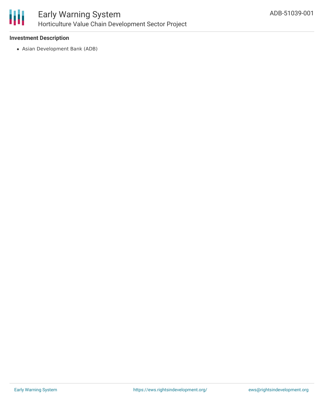

### **Investment Description**

Asian Development Bank (ADB)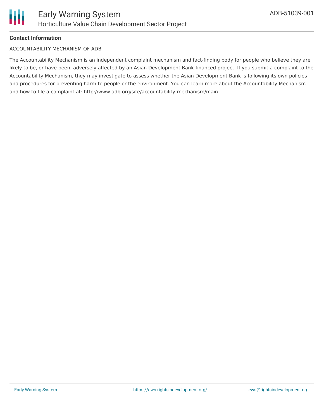

### **Contact Information**

#### ACCOUNTABILITY MECHANISM OF ADB

The Accountability Mechanism is an independent complaint mechanism and fact-finding body for people who believe they are likely to be, or have been, adversely affected by an Asian Development Bank-financed project. If you submit a complaint to the Accountability Mechanism, they may investigate to assess whether the Asian Development Bank is following its own policies and procedures for preventing harm to people or the environment. You can learn more about the Accountability Mechanism and how to file a complaint at: http://www.adb.org/site/accountability-mechanism/main